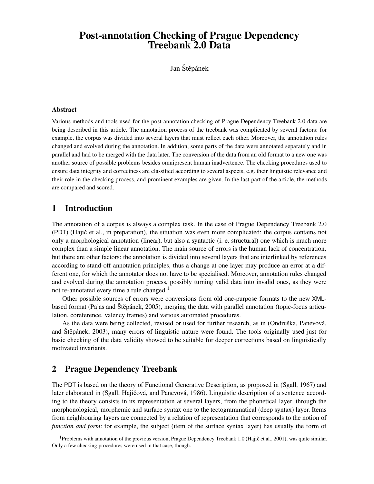# **Post-annotation Checking of Prague Dependency Treebank 2.0 Data**

Jan Štěpánek

#### **Abstract**

Various methods and tools used for the post-annotation checking of Prague Dependency Treebank 2.0 data are being described in this article. The annotation process of the treebank was complicated by several factors: for example, the corpus was divided into several layers that must reflect each other. Moreover, the annotation rules changed and evolved during the annotation. In addition, some parts of the data were annotated separately and in parallel and had to be merged with the data later. The conversion of the data from an old format to a new one was another source of possible problems besides omnipresent human inadvertence. The checking procedures used to ensure data integrity and correctness are classified according to several aspects, e.g. their linguistic relevance and their role in the checking process, and prominent examples are given. In the last part of the article, the methods are compared and scored.

## **1 Introduction**

The annotation of a corpus is always a complex task. In the case of Prague Dependency Treebank 2.0 (PDT) (Hajič et al., in preparation), the situation was even more complicated: the corpus contains not only a morphological annotation (linear), but also a syntactic (i. e. structural) one which is much more complex than a simple linear annotation. The main source of errors is the human lack of concentration, but there are other factors: the annotation is divided into several layers that are interlinked by references according to stand-off annotation principles, thus a change at one layer may produce an error at a different one, for which the annotator does not have to be specialised. Moreover, annotation rules changed and evolved during the annotation process, possibly turning valid data into invalid ones, as they were not re-annotated every time a rule changed.<sup>1</sup>

Other possible sources of errors were conversions from old one-purpose formats to the new XMLbased format (Pajas and Štěpánek, 2005), merging the data with parallel annotation (topic-focus articulation, coreference, valency frames) and various automated procedures.

As the data were being collected, revised or used for further research, as in (Ondruška, Panevová, and Štěpánek, 2003), many errors of linguistic nature were found. The tools originally used just for basic checking of the data validity showed to be suitable for deeper corrections based on linguistically motivated invariants.

## **2 Prague Dependency Treebank**

The PDT is based on the theory of Functional Generative Description, as proposed in (Sgall, 1967) and later elaborated in (Sgall, Hajičová, and Panevová, 1986). Linguistic description of a sentence according to the theory consists in its representation at several layers, from the phonetical layer, through the morphonological, morphemic and surface syntax one to the tectogrammatical (deep syntax) layer. Items from neighbouring layers are connected by a relation of representation that corresponds to the notion of *function and form*: for example, the subject (item of the surface syntax layer) has usually the form of

<sup>&</sup>lt;sup>1</sup> Problems with annotation of the previous version, Prague Dependency Treebank 1.0 (Hajič et al., 2001), was quite similar. Only a few checking procedures were used in that case, though.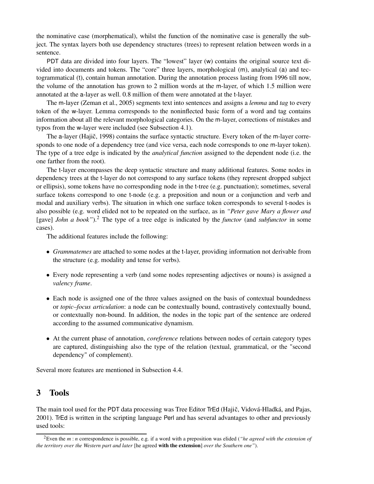the nominative case (morphematical), whilst the function of the nominative case is generally the subject. The syntax layers both use dependency structures (trees) to represent relation between words in a sentence.

PDT data are divided into four layers. The "lowest" layer (w) contains the original source text divided into documents and tokens. The "core" three layers, morphological (m), analytical (a) and tectogrammatical (t), contain human annotation. During the annotation process lasting from 1996 till now, the volume of the annotation has grown to 2 million words at the m-layer, of which 1.5 million were annotated at the a-layer as well. 0.8 million of them were annotated at the t-layer.

The m-layer (Zeman et al., 2005) segments text into sentences and assigns a *lemma* and *tag* to every token of the w-layer. Lemma corresponds to the noninflected basic form of a word and tag contains information about all the relevant morphological categories. On the m-layer, corrections of mistakes and typos from the w-layer were included (see Subsection 4.1).

The a-layer (Hajič, 1998) contains the surface syntactic structure. Every token of the m-layer corresponds to one node of a dependency tree (and vice versa, each node corresponds to one m-layer token). The type of a tree edge is indicated by the *analytical function* assigned to the dependent node (i.e. the one farther from the root).

The t-layer encompasses the deep syntactic structure and many additional features. Some nodes in dependency trees at the t-layer do not correspond to any surface tokens (they represent dropped subject or ellipsis), some tokens have no corresponding node in the t-tree (e.g. punctuation); sometimes, several surface tokens correspond to one t-node (e.g. a preposition and noun or a conjunction and verb and modal and auxiliary verbs). The situation in which one surface token corresponds to several t-nodes is also possible (e.g. word elided not to be repeated on the surface, as in *"Peter gave Mary a flower and* [gave] *John a book"*).<sup>2</sup> The type of a tree edge is indicated by the *functor* (and *subfunctor* in some cases).

The additional features include the following:

- *Grammatemes* are attached to some nodes at the t-layer, providing information not derivable from the structure (e.g. modality and tense for verbs).
- Every node representing a verb (and some nodes representing adjectives or nouns) is assigned a *valency frame*.
- Each node is assigned one of the three values assigned on the basis of contextual boundedness or *topic–focus articulation*: a node can be contextually bound, contrastively contextually bound, or contextually non-bound. In addition, the nodes in the topic part of the sentence are ordered according to the assumed communicative dynamism.
- At the current phase of annotation, *coreference* relations between nodes of certain category types are captured, distinguishing also the type of the relation (textual, grammatical, or the "second dependency" of complement).

Several more features are mentioned in Subsection 4.4.

## **3 Tools**

The main tool used for the PDT data processing was Tree Editor TrEd (Hajič, Vidová-Hladká, and Pajas, 2001). TrEd is written in the scripting language Perl and has several advantages to other and previously used tools:

<sup>2</sup>Even the *m* : *n* correspondence is possible, e.g. if a word with a preposition was elided (*"he agreed with the extension of the territory over the Western part and later* [he agreed **with the extension**] *over the Southern one"*).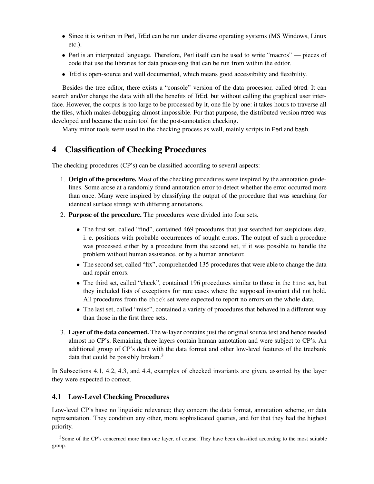- Since it is written in Perl, TrEd can be run under diverse operating systems (MS Windows, Linux etc.).
- Perl is an interpreted language. Therefore, Perl itself can be used to write "macros" pieces of code that use the libraries for data processing that can be run from within the editor.
- TrEd is open-source and well documented, which means good accessibility and flexibility.

Besides the tree editor, there exists a "console" version of the data processor, called btred. It can search and/or change the data with all the benefits of TrEd, but without calling the graphical user interface. However, the corpus is too large to be processed by it, one file by one: it takes hours to traverse all the files, which makes debugging almost impossible. For that purpose, the distributed version ntred was developed and became the main tool for the post-annotation checking.

Many minor tools were used in the checking process as well, mainly scripts in Perl and bash.

## **4 Classification of Checking Procedures**

The checking procedures (CP's) can be classified according to several aspects:

- 1. **Origin of the procedure.** Most of the checking procedures were inspired by the annotation guidelines. Some arose at a randomly found annotation error to detect whether the error occurred more than once. Many were inspired by classifying the output of the procedure that was searching for identical surface strings with differing annotations.
- 2. **Purpose of the procedure.** The procedures were divided into four sets.
	- The first set, called "find", contained 469 procedures that just searched for suspicious data, i. e. positions with probable occurrences of sought errors. The output of such a procedure was processed either by a procedure from the second set, if it was possible to handle the problem without human assistance, or by a human annotator.
	- The second set, called "fix", comprehended 135 procedures that were able to change the data and repair errors.
	- The third set, called "check", contained 196 procedures similar to those in the find set, but they included lists of exceptions for rare cases where the supposed invariant did not hold. All procedures from the check set were expected to report no errors on the whole data.
	- The last set, called "misc", contained a variety of procedures that behaved in a different way than those in the first three sets.
- 3. **Layer of the data concerned.** The w-layer contains just the original source text and hence needed almost no CP's. Remaining three layers contain human annotation and were subject to CP's. An additional group of CP's dealt with the data format and other low-level features of the treebank data that could be possibly broken.<sup>3</sup>

In Subsections 4.1, 4.2, 4.3, and 4.4, examples of checked invariants are given, assorted by the layer they were expected to correct.

## **4.1 Low-Level Checking Procedures**

Low-level CP's have no linguistic relevance; they concern the data format, annotation scheme, or data representation. They condition any other, more sophisticated queries, and for that they had the highest priority.

<sup>&</sup>lt;sup>3</sup>Some of the CP's concerned more than one layer, of course. They have been classified according to the most suitable group.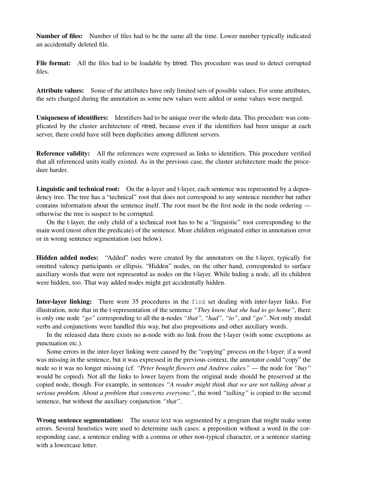**Number of files:** Number of files had to be the same all the time. Lower number typically indicated an accidentally deleted file.

**File format:** All the files had to be loadable by btred. This procedure was used to detect corrupted files.

**Attribute values:** Some of the attributes have only limited sets of possible values. For some attributes, the sets changed during the annotation as some new values were added or some values were merged.

**Uniqueness of identifiers:** Identifiers had to be unique over the whole data. This procedure was complicated by the cluster architecture of ntred, because even if the identifiers had been unique at each server, there could have still been duplicities among different servers.

**Reference validity:** All the references were expressed as links to identifiers. This procedure verified that all referenced units really existed. As in the previous case, the cluster architecture made the procedure harder.

**Linguistic and technical root:** On the a-layer and t-layer, each sentence was represented by a dependency tree. The tree has a "technical" root that does not correspond to any sentence member but rather contains information about the sentence itself. The root must be the first node in the node ordering otherwise the tree is suspect to be corrupted.

On the t-layer, the only child of a technical root has to be a "linguistic" root corresponding to the main word (most often the predicate) of the sentence. More children originated either in annotation error or in wrong sentence segmentation (see below).

**Hidden added nodes:** "Added" nodes were created by the annotators on the t-layer, typically for omitted valency participants or ellipsis. "Hidden" nodes, on the other hand, corresponded to surface auxiliary words that were not represented as nodes on the t-layer. While hiding a node, all its children were hidden, too. That way added nodes might get accidentally hidden.

**Inter-layer linking:** There were 35 procedures in the find set dealing with inter-layer links. For illustration, note that in the t-representation of the sentence *"They know that she had to go home"*, there is only one node *"go"* corresponding to all the a-nodes *"that", "had", "to"*, and *"go"*. Not only modal verbs and conjunctions were handled this way, but also prepositions and other auxiliary words.

In the released data there exists no a-node with no link from the t-layer (with some exceptions as punctuation etc.).

Some errors in the inter-layer linking were caused by the "copying" process on the t-layer: if a word was missing in the sentence, but it was expressed in the previous context, the annotator could "copy" the node so it was no longer missing (cf. *"Peter bought flowers and Andrew cakes."* — the node for *"buy"* would be copied). Not all the links to lower layers from the original node should be preserved at the copied node, though. For example, in sentences *"A reader might think that we are not talking about a serious problem. About a problem that concerns everyone."*, the word *"talking"* is copied to the second sentence, but without the auxiliary conjunction *"that"*.

**Wrong sentence segmentation:** The source text was segmented by a program that might make some errors. Several heuristics were used to determine such cases: a preposition without a word in the corresponding case, a sentence ending with a comma or other non-typical character, or a sentence starting with a lowercase letter.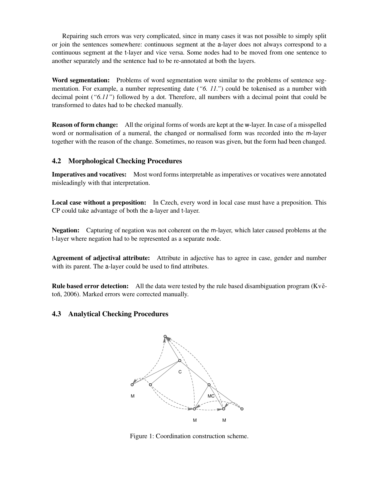Repairing such errors was very complicated, since in many cases it was not possible to simply split or join the sentences somewhere: continuous segment at the a-layer does not always correspond to a continuous segment at the t-layer and vice versa. Some nodes had to be moved from one sentence to another separately and the sentence had to be re-annotated at both the layers.

**Word segmentation:** Problems of word segmentation were similar to the problems of sentence segmentation. For example, a number representing date (*"6. 11."*) could be tokenised as a number with decimal point (*"6.11"*) followed by a dot. Therefore, all numbers with a decimal point that could be transformed to dates had to be checked manually.

**Reason of form change:** All the original forms of words are kept at the w-layer. In case of a misspelled word or normalisation of a numeral, the changed or normalised form was recorded into the m-layer together with the reason of the change. Sometimes, no reason was given, but the form had been changed.

### **4.2 Morphological Checking Procedures**

**Imperatives and vocatives:** Most word forms interpretable as imperatives or vocatives were annotated misleadingly with that interpretation.

**Local case without a preposition:** In Czech, every word in local case must have a preposition. This CP could take advantage of both the a-layer and t-layer.

**Negation:** Capturing of negation was not coherent on the m-layer, which later caused problems at the t-layer where negation had to be represented as a separate node.

**Agreement of adjectival attribute:** Attribute in adjective has to agree in case, gender and number with its parent. The a-layer could be used to find attributes.

**Rule based error detection:** All the data were tested by the rule based disambiguation program (Kvetoň, 2006). Marked errors were corrected manually.

### **4.3 Analytical Checking Procedures**



Figure 1: Coordination construction scheme.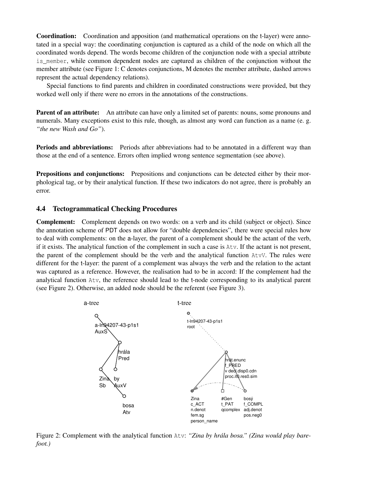**Coordination:** Coordination and apposition (and mathematical operations on the t-layer) were annotated in a special way: the coordinating conjunction is captured as a child of the node on which all the coordinated words depend. The words become children of the conjunction node with a special attribute is\_member, while common dependent nodes are captured as children of the conjunction without the member attribute (see Figure 1: C denotes conjunctions, M denotes the member attribute, dashed arrows represent the actual dependency relations).

Special functions to find parents and children in coordinated constructions were provided, but they worked well only if there were no errors in the annotations of the constructions.

**Parent of an attribute:** An attribute can have only a limited set of parents: nouns, some pronouns and numerals. Many exceptions exist to this rule, though, as almost any word can function as a name (e. g. *"the new Wash and Go"*).

**Periods and abbreviations:** Periods after abbreviations had to be annotated in a different way than those at the end of a sentence. Errors often implied wrong sentence segmentation (see above).

**Prepositions and conjunctions:** Prepositions and conjunctions can be detected either by their morphological tag, or by their analytical function. If these two indicators do not agree, there is probably an error.

#### **4.4 Tectogrammatical Checking Procedures**

**Complement:** Complement depends on two words: on a verb and its child (subject or object). Since the annotation scheme of PDT does not allow for "double dependencies", there were special rules how to deal with complements: on the a-layer, the parent of a complement should be the actant of the verb, if it exists. The analytical function of the complement in such a case is Atv. If the actant is not present, the parent of the complement should be the verb and the analytical function AtvV. The rules were different for the t-layer: the parent of a complement was always the verb and the relation to the actant was captured as a reference. However, the realisation had to be in accord: If the complement had the analytical function Atv, the reference should lead to the t-node corresponding to its analytical parent (see Figure 2). Otherwise, an added node should be the referent (see Figure 3).



Figure 2: Complement with the analytical function Atv: *"Zina by hrála bosa." (Zina would play barefoot.)*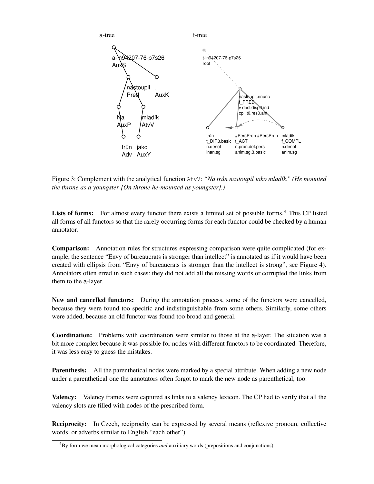

Figure 3: Complement with the analytical function AtvV: "Na trun nastoupil jako mladík." (He mounted *the throne as a youngster [On throne he-mounted as youngster].)*

**Lists of forms:** For almost every functor there exists a limited set of possible forms.<sup>4</sup> This CP listed all forms of all functors so that the rarely occurring forms for each functor could be checked by a human annotator.

**Comparison:** Annotation rules for structures expressing comparison were quite complicated (for example, the sentence "Envy of bureaucrats is stronger than intellect" is annotated as if it would have been created with ellipsis from "Envy of bureaucrats is stronger than the intellect is strong", see Figure 4). Annotators often erred in such cases: they did not add all the missing words or corrupted the links from them to the a-layer.

**New and cancelled functors:** During the annotation process, some of the functors were cancelled, because they were found too specific and indistinguishable from some others. Similarly, some others were added, because an old functor was found too broad and general.

**Coordination:** Problems with coordination were similar to those at the a-layer. The situation was a bit more complex because it was possible for nodes with different functors to be coordinated. Therefore, it was less easy to guess the mistakes.

**Parenthesis:** All the parenthetical nodes were marked by a special attribute. When adding a new node under a parenthetical one the annotators often forgot to mark the new node as parenthetical, too.

**Valency:** Valency frames were captured as links to a valency lexicon. The CP had to verify that all the valency slots are filled with nodes of the prescribed form.

**Reciprocity:** In Czech, reciprocity can be expressed by several means (reflexive pronoun, collective words, or adverbs similar to English "each other").

<sup>4</sup>By form we mean morphological categories *and* auxiliary words (prepositions and conjunctions).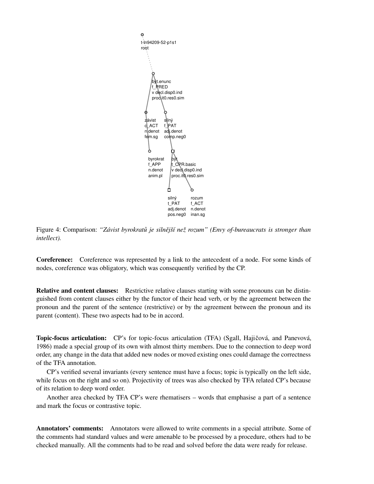

Figure 4: Comparison: *"Závist byrokratu˚ je silnejší ˇ než rozum" (Envy of-bureaucrats is stronger than intellect).*

**Coreference:** Coreference was represented by a link to the antecedent of a node. For some kinds of nodes, coreference was obligatory, which was consequently verified by the CP.

**Relative and content clauses:** Restrictive relative clauses starting with some pronouns can be distinguished from content clauses either by the functor of their head verb, or by the agreement between the pronoun and the parent of the sentence (restrictive) or by the agreement between the pronoun and its parent (content). These two aspects had to be in accord.

**Topic-focus articulation:** CP's for topic-focus articulation (TFA) (Sgall, Hajičová, and Panevová, 1986) made a special group of its own with almost thirty members. Due to the connection to deep word order, any change in the data that added new nodes or moved existing ones could damage the correctness of the TFA annotation.

CP's verified several invariants (every sentence must have a focus; topic is typically on the left side, while focus on the right and so on). Projectivity of trees was also checked by TFA related CP's because of its relation to deep word order.

Another area checked by TFA CP's were rhematisers – words that emphasise a part of a sentence and mark the focus or contrastive topic.

**Annotators' comments:** Annotators were allowed to write comments in a special attribute. Some of the comments had standard values and were amenable to be processed by a procedure, others had to be checked manually. All the comments had to be read and solved before the data were ready for release.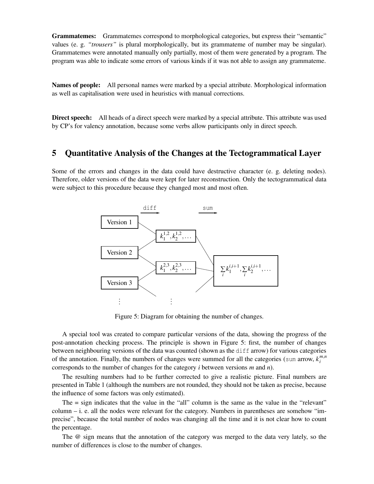**Grammatemes:** Grammatemes correspond to morphological categories, but express their "semantic" values (e. g. *"trousers"* is plural morphologically, but its grammateme of number may be singular). Grammatemes were annotated manually only partially, most of them were generated by a program. The program was able to indicate some errors of various kinds if it was not able to assign any grammateme.

**Names of people:** All personal names were marked by a special attribute. Morphological information as well as capitalisation were used in heuristics with manual corrections.

**Direct speech:** All heads of a direct speech were marked by a special attribute. This attribute was used by CP's for valency annotation, because some verbs allow participants only in direct speech.

## **5 Quantitative Analysis of the Changes at the Tectogrammatical Layer**

Some of the errors and changes in the data could have destructive character (e. g. deleting nodes). Therefore, older versions of the data were kept for later reconstruction. Only the tectogrammatical data were subject to this procedure because they changed most and most often.



Figure 5: Diagram for obtaining the number of changes.

A special tool was created to compare particular versions of the data, showing the progress of the post-annotation checking process. The principle is shown in Figure 5: first, the number of changes between neighbouring versions of the data was counted (shown as the diff arrow) for various categories of the annotation. Finally, the numbers of changes were summed for all the categories (sum arrow,  $k_i^{m,n}$ corresponds to the number of changes for the category *i* between versions *m* and *n*).

The resulting numbers had to be further corrected to give a realistic picture. Final numbers are presented in Table 1 (although the numbers are not rounded, they should not be taken as precise, because the influence of some factors was only estimated).

The = sign indicates that the value in the "all" column is the same as the value in the "relevant" column – i. e. all the nodes were relevant for the category. Numbers in parentheses are somehow "imprecise", because the total number of nodes was changing all the time and it is not clear how to count the percentage.

The @ sign means that the annotation of the category was merged to the data very lately, so the number of differences is close to the number of changes.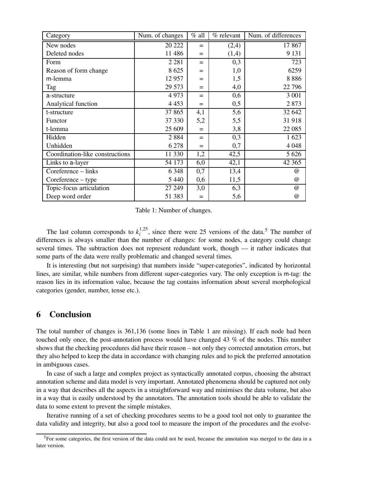| Category                        | Num. of changes | $%$ all | % relevant | Num. of differences |
|---------------------------------|-----------------|---------|------------|---------------------|
| New nodes                       | 20 222          | $=$     | (2,4)      | 17867               |
| Deleted nodes                   | 11 486          | $=$     | (1,4)      | 9 1 3 1             |
| Form                            | 2 2 8 1         | $=$     | 0,3        | 723                 |
| Reason of form change           | 8625            | $=$     | 1,0        | 6259                |
| m-lemma                         | 12 9 57         | $=$     | 1,5        | 8886                |
| Tag                             | 29 573          | $=$     | 4,0        | 22 796              |
| a-structure                     | 4973            | $=$     | 0,6        | 3 0 0 1             |
| Analytical function             | 4 4 5 3         | $=$     | 0,5        | 2873                |
| t-structure                     | 37 865          | 4,1     | 5,6        | 32 642              |
| Functor                         | 37 330          | 5,2     | 5,5        | 31 918              |
| t-lemma                         | 25 609          | $=$     | 3,8        | 22 08 5             |
| Hidden                          | 2884            | $=$     | 0,3        | 1 623               |
| Unhidden                        | 6 2 7 8         | $=$     | 0,7        | 4 0 48              |
| Coordination-like constructions | 11 330          | 1,2     | 42,5       | 5 6 2 6             |
| Links to a-layer                | 54 173          | 6,0     | 42,1       | 42 3 65             |
| Coreference – links             | 6 3 4 8         | 0,7     | 13,4       | $^{\copyright}$     |
| Coreference – type              | 5 4 4 0         | 0,6     | 11,5       | $^{\copyright}$     |
| Topic-focus articulation        | 27 249          | 3,0     | 6,3        | $^{\copyright}$     |
| Deep word order                 | 51 383          | $=$     | 5,6        | $^{\copyright}$     |

Table 1: Number of changes.

The last column corresponds to  $k_i^{1,25}$ , since there were 25 versions of the data.<sup>5</sup> The number of differences is always smaller than the number of changes: for some nodes, a category could change several times. The subtraction does not represent redundant work, though — it rather indicates that some parts of the data were really problematic and changed several times.

It is interesting (but not surprising) that numbers inside "super-categories", indicated by horizontal lines, are similar, while numbers from different super-categories vary. The only exception is m-tag: the reason lies in its information value, because the tag contains information about several morphological categories (gender, number, tense etc.).

## **6 Conclusion**

The total number of changes is 361,136 (some lines in Table 1 are missing). If each node had been touched only once, the post-annotation process would have changed 43 % of the nodes. This number shows that the checking procedures did have their reason – not only they corrected annotation errors, but they also helped to keep the data in accordance with changing rules and to pick the preferred annotation in ambiguous cases.

In case of such a large and complex project as syntactically annotated corpus, choosing the abstract annotation scheme and data model is very important. Annotated phenomena should be captured not only in a way that describes all the aspects in a straightforward way and minimises the data volume, but also in a way that is easily understood by the annotators. The annotation tools should be able to validate the data to some extent to prevent the simple mistakes.

Iterative running of a set of checking procedures seems to be a good tool not only to guarantee the data validity and integrity, but also a good tool to measure the import of the procedures and the evolve-

<sup>&</sup>lt;sup>5</sup>For some categories, the first version of the data could not be used, because the annotation was merged to the data in a later version.